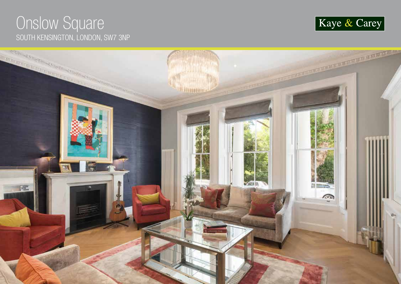# Onslow Square SOUTH KENSINGTON, LONDON, SW7 3NP



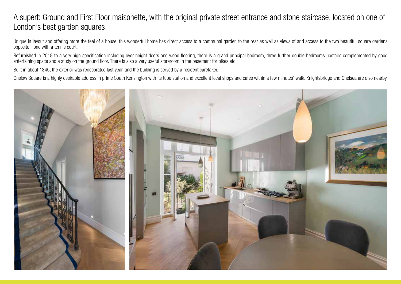### A superb Ground and First Floor maisonette, with the original private street entrance and stone staircase, located on one of London's best garden squares.

Unique in layout and offering more the feel of a house, this wonderful home has direct access to a communal garden to the rear as well as views of and access to the two beautiful square gardens opposite - one with a tennis court.

Refurbished in 2018 to a very high specification including over-height doors and wood flooring, there is a grand principal bedroom, three further double bedrooms upstairs complemented by good entertaining space and a study on the ground floor. There is also a very useful storeroom in the basement for bikes etc.

Built in about 1845, the exterior was redecorated last year, and the building is served by a resident caretaker.

Onslow Square is a highly desirable address in prime South Kensington with its tube station and excellent local shops and cafes within a few minutes' walk. Knightsbridge and Chelsea are also nearby.

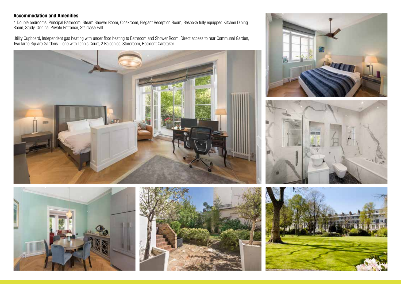### **Accommodation and Amenities**

4 Double bedrooms, Principal Bathroom, Steam Shower Room, Cloakroom, Elegant Reception Room, Bespoke fully equipped Kitchen Dining Room, Study, Original Private Entrance, Staircase Hall.

Utility Cupboard, Independent gas heating with under floor heating to Bathroom and Shower Room, Direct access to rear Communal Garden, Two large Square Gardens – one with Tennis Court, 2 Balconies, Storeroom, Resident Caretaker.